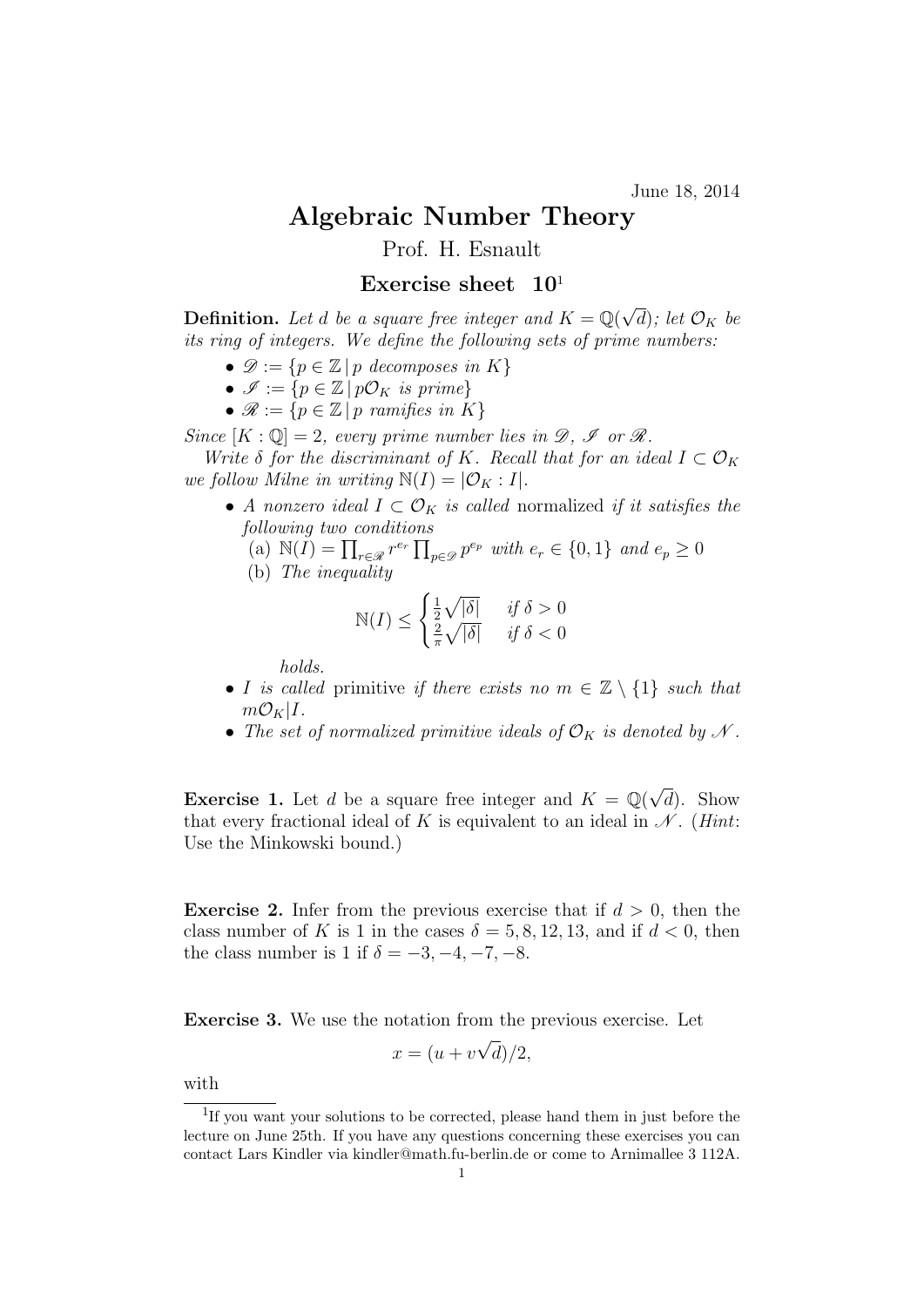June 18, 2014

## Algebraic Number Theory

Prof. H. Esnault

## Exercise sheet  $10<sup>1</sup>$

**Definition.** Let d be a square free integer and  $K = \mathbb{Q}(\sqrt{2})$ 'd); let  $\mathcal{O}_K$  be its ring of integers. We define the following sets of prime numbers:

- $\mathscr{D} := \{p \in \mathbb{Z} \mid p \text{ decomposes in } K\}$
- $\mathscr{I} := \{ p \in \mathbb{Z} \mid p\mathcal{O}_K \text{ is prime} \}$
- $\mathscr{R} := \{ p \in \mathbb{Z} \mid p \text{ ramifies in } K \}$

Since  $[K: \mathbb{Q}] = 2$ , every prime number lies in  $\mathscr{D}, \mathscr{I}$  or  $\mathscr{R}.$ 

Write  $\delta$  for the discriminant of K. Recall that for an ideal  $I \subset \mathcal{O}_K$ we follow Milne in writing  $\mathbb{N}(I) = |\mathcal{O}_K : I|.$ 

- A nonzero ideal  $I \subset \mathcal{O}_K$  is called normalized if it satisfies the following two conditions
	- (a)  $\mathbb{N}(I) = \prod_{r \in \mathcal{R}} r^{e_r} \prod_{p \in \mathcal{D}} p^{e_p}$  with  $e_r \in \{0, 1\}$  and  $e_p \geq 0$
	- (b) The inequality

$$
\mathbb{N}(I) \le \begin{cases} \frac{1}{2}\sqrt{|\delta|} & \text{if } \delta > 0\\ \frac{2}{\pi}\sqrt{|\delta|} & \text{if } \delta < 0 \end{cases}
$$

holds.

- I is called primitive if there exists no  $m \in \mathbb{Z} \setminus \{1\}$  such that  $m\mathcal{O}_K|I$ .
- The set of normalized primitive ideals of  $\mathcal{O}_K$  is denoted by N.

**Exercise 1.** Let d be a square free integer and  $K = \mathbb{Q}(\sqrt{2})$  $(d)$ . Show that every fractional ideal of K is equivalent to an ideal in  $\mathcal{N}$ . (*Hint*: Use the Minkowski bound.)

**Exercise 2.** Infer from the previous exercise that if  $d > 0$ , then the class number of K is 1 in the cases  $\delta = 5, 8, 12, 13,$  and if  $d < 0$ , then the class number is 1 if  $\delta = -3, -4, -7, -8.$ 

Exercise 3. We use the notation from the previous exercise. Let √

$$
x = (u + v\sqrt{d})/2,
$$

with

<sup>&</sup>lt;sup>1</sup>If you want your solutions to be corrected, please hand them in just before the lecture on June 25th. If you have any questions concerning these exercises you can contact Lars Kindler via kindler@math.fu-berlin.de or come to Arnimallee 3 112A.